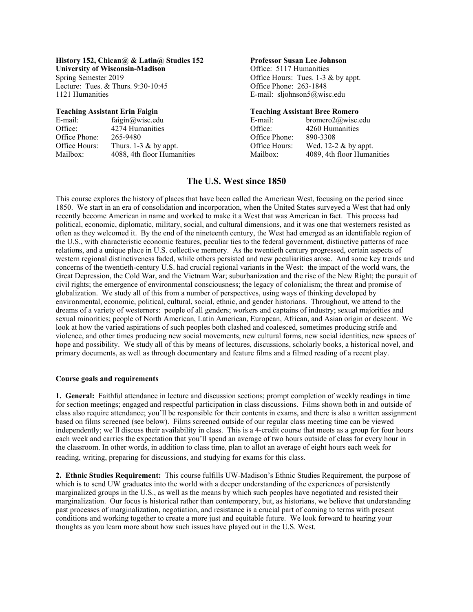**History 152, Chican@ & Latin@ Studies 152 Professor Susan Lee Johnson**<br>
University of Wisconsin-Madison **Professor Susan Lee** *Johnson* Office: 5117 Humanities **University of Wisconsin-Madison** Spring Semester 2019 **Office Hours:** Tues. 1-3 & by appt.

| E-mail:       | faigin@wisc.edu            | E-mail:       | bromero $2@$ wisc.edu      |
|---------------|----------------------------|---------------|----------------------------|
| Office:       | 4274 Humanities            | Office:       | 4260 Humanities            |
| Office Phone: | 265-9480                   | Office Phone: | 890-3308                   |
| Office Hours: | Thurs. $1-3 \&$ by appt.   | Office Hours: | Wed. 12-2 $\&$ by appt.    |
| Mailbox:      | 4088, 4th floor Humanities | Mailbox:      | 4089, 4th floor Humanities |
|               |                            |               |                            |

Lecture: Tues. & Thurs. 9:30-10:45 Office Phone: 263-1848<br>1121 Humanities E-mail: sliohnson5@wis E-mail: sljohnson5@wisc.edu

### **Teaching Assistant Erin Faigin Teaching Assistant Bree Romero**

| E-mail:              | bromero2@wisc.e     |
|----------------------|---------------------|
| <b>Office:</b>       | 4260 Humanities     |
| Office Phone:        | 890-3308            |
| <b>Office Hours:</b> | Wed. $12-2$ & by ap |
| Mailbox:             | 4089, 4th floor Hu  |
|                      |                     |

# **The U.S. West since 1850**

This course explores the history of places that have been called the American West, focusing on the period since 1850. We start in an era of consolidation and incorporation, when the United States surveyed a West that had only recently become American in name and worked to make it a West that was American in fact. This process had political, economic, diplomatic, military, social, and cultural dimensions, and it was one that westerners resisted as often as they welcomed it. By the end of the nineteenth century, the West had emerged as an identifiable region of the U.S., with characteristic economic features, peculiar ties to the federal government, distinctive patterns of race relations, and a unique place in U.S. collective memory. As the twentieth century progressed, certain aspects of western regional distinctiveness faded, while others persisted and new peculiarities arose. And some key trends and concerns of the twentieth-century U.S. had crucial regional variants in the West: the impact of the world wars, the Great Depression, the Cold War, and the Vietnam War; suburbanization and the rise of the New Right; the pursuit of civil rights; the emergence of environmental consciousness; the legacy of colonialism; the threat and promise of globalization. We study all of this from a number of perspectives, using ways of thinking developed by environmental, economic, political, cultural, social, ethnic, and gender historians. Throughout, we attend to the dreams of a variety of westerners: people of all genders; workers and captains of industry; sexual majorities and sexual minorities; people of North American, Latin American, European, African, and Asian origin or descent. We look at how the varied aspirations of such peoples both clashed and coalesced, sometimes producing strife and violence, and other times producing new social movements, new cultural forms, new social identities, new spaces of hope and possibility. We study all of this by means of lectures, discussions, scholarly books, a historical novel, and primary documents, as well as through documentary and feature films and a filmed reading of a recent play.

## **Course goals and requirements**

**1. General:** Faithful attendance in lecture and discussion sections; prompt completion of weekly readings in time for section meetings; engaged and respectful participation in class discussions. Films shown both in and outside of class also require attendance; you'll be responsible for their contents in exams, and there is also a written assignment based on films screened (see below). Films screened outside of our regular class meeting time can be viewed independently; we'll discuss their availability in class. This is a 4-credit course that meets as a group for four hours each week and carries the expectation that you'll spend an average of two hours outside of class for every hour in the classroom. In other words, in addition to class time, plan to allot an average of eight hours each week for reading, writing, preparing for discussions, and studying for exams for this class.

**2. Ethnic Studies Requirement:** This course fulfills UW-Madison's Ethnic Studies Requirement, the purpose of which is to send UW graduates into the world with a deeper understanding of the experiences of persistently marginalized groups in the U.S., as well as the means by which such peoples have negotiated and resisted their marginalization. Our focus is historical rather than contemporary, but, as historians, we believe that understanding past processes of marginalization, negotiation, and resistance is a crucial part of coming to terms with present conditions and working together to create a more just and equitable future. We look forward to hearing your thoughts as you learn more about how such issues have played out in the U.S. West.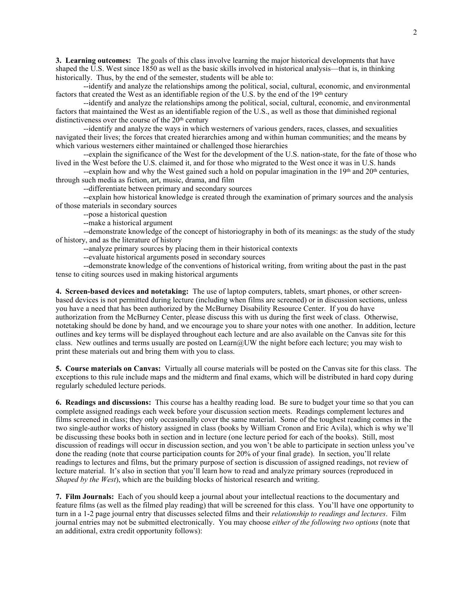**3. Learning outcomes:** The goals of this class involve learning the major historical developments that have shaped the U.S. West since 1850 as well as the basic skills involved in historical analysis—that is, in thinking historically. Thus, by the end of the semester, students will be able to:

--identify and analyze the relationships among the political, social, cultural, economic, and environmental factors that created the West as an identifiable region of the U.S. by the end of the 19th century

--identify and analyze the relationships among the political, social, cultural, economic, and environmental factors that maintained the West as an identifiable region of the U.S., as well as those that diminished regional distinctiveness over the course of the  $20<sup>th</sup>$  century

--identify and analyze the ways in which westerners of various genders, races, classes, and sexualities navigated their lives; the forces that created hierarchies among and within human communities; and the means by which various westerners either maintained or challenged those hierarchies

--explain the significance of the West for the development of the U.S. nation-state, for the fate of those who lived in the West before the U.S. claimed it, and for those who migrated to the West once it was in U.S. hands

--explain how and why the West gained such a hold on popular imagination in the 19<sup>th</sup> and 20<sup>th</sup> centuries, through such media as fiction, art, music, drama, and film

--differentiate between primary and secondary sources

--explain how historical knowledge is created through the examination of primary sources and the analysis of those materials in secondary sources

--pose a historical question

--make a historical argument

--demonstrate knowledge of the concept of historiography in both of its meanings: as the study of the study of history, and as the literature of history

--analyze primary sources by placing them in their historical contexts

--evaluate historical arguments posed in secondary sources

--demonstrate knowledge of the conventions of historical writing, from writing about the past in the past tense to citing sources used in making historical arguments

**4. Screen-based devices and notetaking:** The use of laptop computers, tablets, smart phones, or other screenbased devices is not permitted during lecture (including when films are screened) or in discussion sections, unless you have a need that has been authorized by the McBurney Disability Resource Center. If you do have authorization from the McBurney Center, please discuss this with us during the first week of class. Otherwise, notetaking should be done by hand, and we encourage you to share your notes with one another. In addition, lecture outlines and key terms will be displayed throughout each lecture and are also available on the Canvas site for this class. New outlines and terms usually are posted on Learn@UW the night before each lecture; you may wish to print these materials out and bring them with you to class.

**5. Course materials on Canvas:** Virtually all course materials will be posted on the Canvas site for this class. The exceptions to this rule include maps and the midterm and final exams, which will be distributed in hard copy during regularly scheduled lecture periods.

**6. Readings and discussions:** This course has a healthy reading load. Be sure to budget your time so that you can complete assigned readings each week before your discussion section meets. Readings complement lectures and films screened in class; they only occasionally cover the same material. Some of the toughest reading comes in the two single-author works of history assigned in class (books by William Cronon and Eric Avila), which is why we'll be discussing these books both in section and in lecture (one lecture period for each of the books). Still, most discussion of readings will occur in discussion section, and you won't be able to participate in section unless you've done the reading (note that course participation counts for 20% of your final grade). In section, you'll relate readings to lectures and films, but the primary purpose of section is discussion of assigned readings, not review of lecture material. It's also in section that you'll learn how to read and analyze primary sources (reproduced in *Shaped by the West*), which are the building blocks of historical research and writing.

**7. Film Journals:** Each of you should keep a journal about your intellectual reactions to the documentary and feature films (as well as the filmed play reading) that will be screened for this class. You'll have one opportunity to turn in a 1-2 page journal entry that discusses selected films and their *relationship to readings and lectures*. Film journal entries may not be submitted electronically. You may choose *either of the following two options* (note that an additional, extra credit opportunity follows):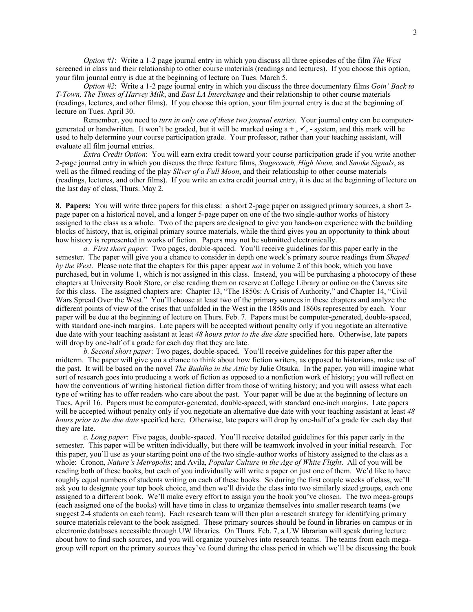*Option #1*: Write a 1-2 page journal entry in which you discuss all three episodes of the film *The West* screened in class and their relationship to other course materials (readings and lectures). If you choose this option, your film journal entry is due at the beginning of lecture on Tues. March 5.

*Option #2*: Write a 1-2 page journal entry in which you discuss the three documentary films *Goin' Back to T-Town, The Times of Harvey Milk*, and *East LA Interchange* and their relationship to other course materials (readings, lectures, and other films). If you choose this option, your film journal entry is due at the beginning of lecture on Tues. April 30.

Remember, you need to *turn in only one of these two journal entries*. Your journal entry can be computergenerated or handwritten. It won't be graded, but it will be marked using  $a +$ ,  $\checkmark$ , - system, and this mark will be used to help determine your course participation grade. Your professor, rather than your teaching assistant, will evaluate all film journal entries.

*Extra Credit Option*: You will earn extra credit toward your course participation grade if you write another 2-page journal entry in which you discuss the three feature films, *Stagecoach, High Noon,* and *Smoke Signals*, as well as the filmed reading of the play *Sliver of a Full Moon*, and their relationship to other course materials (readings, lectures, and other films). If you write an extra credit journal entry, it is due at the beginning of lecture on the last day of class, Thurs. May 2.

**8. Papers:** You will write three papers for this class: a short 2-page paper on assigned primary sources, a short 2 page paper on a historical novel, and a longer 5-page paper on one of the two single-author works of history assigned to the class as a whole. Two of the papers are designed to give you hands-on experience with the building blocks of history, that is, original primary source materials, while the third gives you an opportunity to think about how history is represented in works of fiction. Papers may not be submitted electronically.

*a. First short paper*: Two pages, double-spaced. You'll receive guidelines for this paper early in the semester. The paper will give you a chance to consider in depth one week's primary source readings from *Shaped by the West*. Please note that the chapters for this paper appear *not* in volume 2 of this book, which you have purchased, but in volume 1, which is not assigned in this class. Instead, you will be purchasing a photocopy of these chapters at University Book Store, or else reading them on reserve at College Library or online on the Canvas site for this class. The assigned chapters are: Chapter 13, "The 1850s: A Crisis of Authority," and Chapter 14, "Civil Wars Spread Over the West." You'll choose at least two of the primary sources in these chapters and analyze the different points of view of the crises that unfolded in the West in the 1850s and 1860s represented by each. Your paper will be due at the beginning of lecture on Thurs. Feb. 7.Papers must be computer-generated, double-spaced, with standard one-inch margins. Late papers will be accepted without penalty only if you negotiate an alternative due date with your teaching assistant at least *48 hours prior to the due date* specified here. Otherwise, late papers will drop by one-half of a grade for each day that they are late.

*b. Second short paper:* Two pages, double-spaced. You'll receive guidelines for this paper after the midterm. The paper will give you a chance to think about how fiction writers, as opposed to historians, make use of the past. It will be based on the novel *The Buddha in the Attic* by Julie Otsuka. In the paper, you will imagine what sort of research goes into producing a work of fiction as opposed to a nonfiction work of history; you will reflect on how the conventions of writing historical fiction differ from those of writing history; and you will assess what each type of writing has to offer readers who care about the past. Your paper will be due at the beginning of lecture on Tues. April 16.Papers must be computer-generated, double-spaced, with standard one-inch margins. Late papers will be accepted without penalty only if you negotiate an alternative due date with your teaching assistant at least *48 hours prior to the due date* specified here. Otherwise, late papers will drop by one-half of a grade for each day that they are late.

*c. Long paper*: Five pages, double-spaced. You'll receive detailed guidelines for this paper early in the semester. This paper will be written individually, but there will be teamwork involved in your initial research. For this paper, you'll use as your starting point one of the two single-author works of history assigned to the class as a whole: Cronon, *Nature's Metropolis*; and Avila, *Popular Culture in the Age of White Flight*. All of you will be reading both of these books, but each of you individually will write a paper on just one of them. We'd like to have roughly equal numbers of students writing on each of these books. So during the first couple weeks of class, we'll ask you to designate your top book choice, and then we'll divide the class into two similarly sized groups, each one assigned to a different book. We'll make every effort to assign you the book you've chosen. The two mega-groups (each assigned one of the books) will have time in class to organize themselves into smaller research teams (we suggest 2-4 students on each team). Each research team will then plan a research strategy for identifying primary source materials relevant to the book assigned. These primary sources should be found in libraries on campus or in electronic databases accessible through UW libraries. On Thurs. Feb. 7, a UW librarian will speak during lecture about how to find such sources, and you will organize yourselves into research teams. The teams from each megagroup will report on the primary sources they've found during the class period in which we'll be discussing the book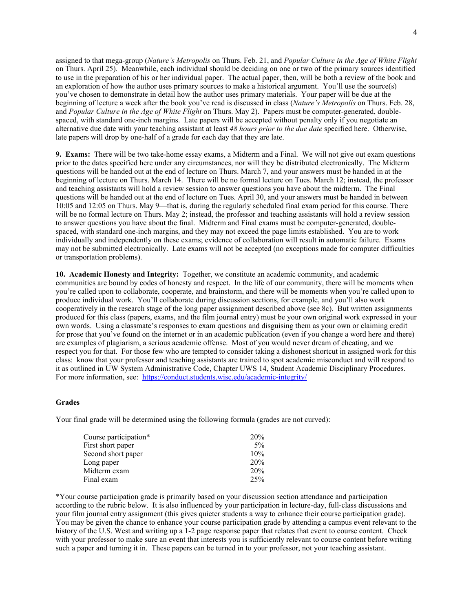assigned to that mega-group (*Nature's Metropolis* on Thurs. Feb. 21, and *Popular Culture in the Age of White Flight* on Thurs. April 25). Meanwhile, each individual should be deciding on one or two of the primary sources identified to use in the preparation of his or her individual paper. The actual paper, then, will be both a review of the book and an exploration of how the author uses primary sources to make a historical argument. You'll use the source(s) you've chosen to demonstrate in detail how the author uses primary materials. Your paper will be due at the beginning of lecture a week after the book you've read is discussed in class (*Nature's Metropolis* on Thurs. Feb. 28, and *Popular Culture in the Age of White Flight* on Thurs. May 2). Papers must be computer-generated, doublespaced, with standard one-inch margins. Late papers will be accepted without penalty only if you negotiate an alternative due date with your teaching assistant at least *48 hours prior to the due date* specified here. Otherwise, late papers will drop by one-half of a grade for each day that they are late.

**9. Exams:** There will be two take-home essay exams, a Midterm and a Final. We will not give out exam questions prior to the dates specified here under any circumstances, nor will they be distributed electronically. The Midterm questions will be handed out at the end of lecture on Thurs. March 7, and your answers must be handed in at the beginning of lecture on Thurs. March 14. There will be no formal lecture on Tues. March 12; instead, the professor and teaching assistants will hold a review session to answer questions you have about the midterm. The Final questions will be handed out at the end of lecture on Tues. April 30, and your answers must be handed in between 10:05 and 12:05 on Thurs. May 9—that is, during the regularly scheduled final exam period for this course. There will be no formal lecture on Thurs. May 2; instead, the professor and teaching assistants will hold a review session to answer questions you have about the final. Midterm and Final exams must be computer-generated, doublespaced, with standard one-inch margins, and they may not exceed the page limits established. You are to work individually and independently on these exams; evidence of collaboration will result in automatic failure. Exams may not be submitted electronically. Late exams will not be accepted (no exceptions made for computer difficulties or transportation problems).

**10. Academic Honesty and Integrity:** Together, we constitute an academic community, and academic communities are bound by codes of honesty and respect. In the life of our community, there will be moments when you're called upon to collaborate, cooperate, and brainstorm, and there will be moments when you're called upon to produce individual work. You'll collaborate during discussion sections, for example, and you'll also work cooperatively in the research stage of the long paper assignment described above (see 8c). But written assignments produced for this class (papers, exams, and the film journal entry) must be your own original work expressed in your own words. Using a classmate's responses to exam questions and disguising them as your own or claiming credit for prose that you've found on the internet or in an academic publication (even if you change a word here and there) are examples of plagiarism, a serious academic offense. Most of you would never dream of cheating, and we respect you for that. For those few who are tempted to consider taking a dishonest shortcut in assigned work for this class: know that your professor and teaching assistants are trained to spot academic misconduct and will respond to it as outlined in UW System Administrative Code, Chapter UWS 14, Student Academic Disciplinary Procedures. For more information, see: https://conduct.students.wisc.edu/academic-integrity/

## **Grades**

Your final grade will be determined using the following formula (grades are not curved):

| 20%   |
|-------|
| $5\%$ |
| 10%   |
| 20%   |
| 20%   |
| 25%   |
|       |

\*Your course participation grade is primarily based on your discussion section attendance and participation according to the rubric below. It is also influenced by your participation in lecture-day, full-class discussions and your film journal entry assignment (this gives quieter students a way to enhance their course participation grade). You may be given the chance to enhance your course participation grade by attending a campus event relevant to the history of the U.S. West and writing up a 1-2 page response paper that relates that event to course content. Check with your professor to make sure an event that interests you is sufficiently relevant to course content before writing such a paper and turning it in. These papers can be turned in to your professor, not your teaching assistant.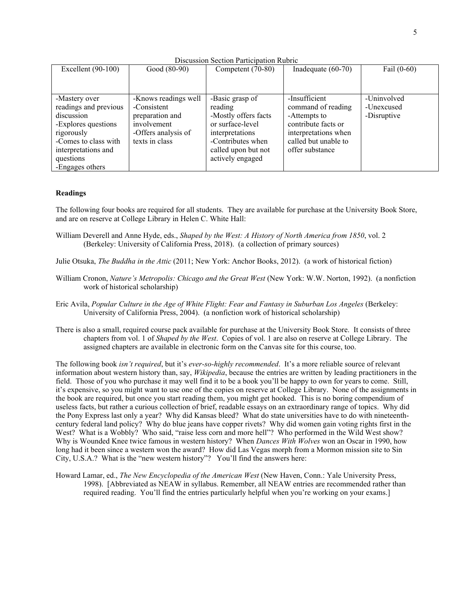Discussion Section Participation Rubric

| Excellent $(90-100)$  | Good (80-90)         | Competent (70-80)    | Inadequate (60-70)   | Fail $(0-60)$ |
|-----------------------|----------------------|----------------------|----------------------|---------------|
|                       |                      |                      |                      |               |
| -Mastery over         | -Knows readings well | -Basic grasp of      | -Insufficient        | -Uninvolved   |
| readings and previous | -Consistent          | reading              | command of reading   | -Unexcused    |
| discussion            | preparation and      | -Mostly offers facts | -Attempts to         | -Disruptive   |
| -Explores questions   | involvement          | or surface-level     | contribute facts or  |               |
| rigorously            | -Offers analysis of  | interpretations      | interpretations when |               |
| -Comes to class with  | texts in class       | -Contributes when    | called but unable to |               |
| interpretations and   |                      | called upon but not  | offer substance      |               |
| questions             |                      | actively engaged     |                      |               |
| -Engages others       |                      |                      |                      |               |

## **Readings**

The following four books are required for all students. They are available for purchase at the University Book Store, and are on reserve at College Library in Helen C. White Hall:

- William Deverell and Anne Hyde, eds., *Shaped by the West: A History of North America from 1850*, vol. 2 (Berkeley: University of California Press, 2018). (a collection of primary sources)
- Julie Otsuka, *The Buddha in the Attic* (2011; New York: Anchor Books, 2012). (a work of historical fiction)
- William Cronon, *Nature's Metropolis: Chicago and the Great West* (New York: W.W. Norton, 1992). (a nonfiction work of historical scholarship)
- Eric Avila, *Popular Culture in the Age of White Flight: Fear and Fantasy in Suburban Los Angeles* (Berkeley: University of California Press, 2004). (a nonfiction work of historical scholarship)
- There is also a small, required course pack available for purchase at the University Book Store. It consists of three chapters from vol. 1 of *Shaped by the West*. Copies of vol. 1 are also on reserve at College Library. The assigned chapters are available in electronic form on the Canvas site for this course, too.

The following book *isn't required*, but it's *ever-so-highly recommended*. It's a more reliable source of relevant information about western history than, say, *Wikipedia*, because the entries are written by leading practitioners in the field. Those of you who purchase it may well find it to be a book you'll be happy to own for years to come. Still, it's expensive, so you might want to use one of the copies on reserve at College Library. None of the assignments in the book are required, but once you start reading them, you might get hooked. This is no boring compendium of useless facts, but rather a curious collection of brief, readable essays on an extraordinary range of topics. Why did the Pony Express last only a year? Why did Kansas bleed? What do state universities have to do with nineteenthcentury federal land policy? Why do blue jeans have copper rivets? Why did women gain voting rights first in the West? What is a Wobbly? Who said, "raise less corn and more hell"? Who performed in the Wild West show? Why is Wounded Knee twice famous in western history? When *Dances With Wolves* won an Oscar in 1990, how long had it been since a western won the award? How did Las Vegas morph from a Mormon mission site to Sin City, U.S.A.? What is the "new western history"? You'll find the answers here:

Howard Lamar, ed., *The New Encyclopedia of the American West* (New Haven, Conn.: Yale University Press, 1998). [Abbreviated as NEAW in syllabus. Remember, all NEAW entries are recommended rather than required reading. You'll find the entries particularly helpful when you're working on your exams.]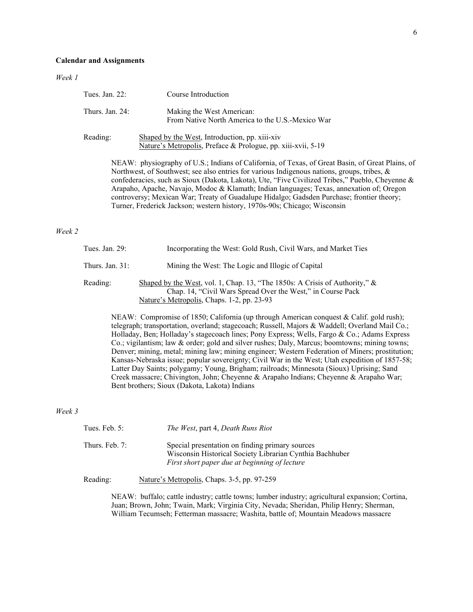| Tues. Jan. 22:  | Course Introduction                                                                                            |
|-----------------|----------------------------------------------------------------------------------------------------------------|
| Thurs. Jan. 24: | Making the West American:<br>From Native North America to the U.S.-Mexico War                                  |
| Reading:        | Shaped by the West, Introduction, pp. xiii-xiv<br>Nature's Metropolis, Preface & Prologue, pp. xiii-xvii, 5-19 |
|                 | NEAW: physiography of U.S. Indians of California of Texas, of Great Basin, of                                  |

physiography of U.S.; Indians of California, of Texas, of Great Basin, of Great Plains, of Northwest, of Southwest; see also entries for various Indigenous nations, groups, tribes, & confederacies, such as Sioux (Dakota, Lakota), Ute, "Five Civilized Tribes," Pueblo, Cheyenne & Arapaho, Apache, Navajo, Modoc & Klamath; Indian languages; Texas, annexation of; Oregon controversy; Mexican War; Treaty of Guadalupe Hidalgo; Gadsden Purchase; frontier theory; Turner, Frederick Jackson; western history, 1970s-90s; Chicago; Wisconsin

## *Week 2*

| Tues. Jan. 29:     | Incorporating the West: Gold Rush, Civil Wars, and Market Ties                                                                                                                              |
|--------------------|---------------------------------------------------------------------------------------------------------------------------------------------------------------------------------------------|
| Thurs. Jan. $31$ : | Mining the West: The Logic and Illogic of Capital                                                                                                                                           |
| Reading:           | Shaped by the West, vol. 1, Chap. 13, "The 1850s: A Crisis of Authority," $\&$<br>Chap. 14, "Civil Wars Spread Over the West," in Course Pack<br>Nature's Metropolis, Chaps. 1-2, pp. 23-93 |

NEAW: Compromise of 1850; California (up through American conquest & Calif. gold rush); telegraph; transportation, overland; stagecoach; Russell, Majors & Waddell; Overland Mail Co.; Holladay, Ben; Holladay's stagecoach lines; Pony Express; Wells, Fargo & Co.; Adams Express Co.; vigilantism; law & order; gold and silver rushes; Daly, Marcus; boomtowns; mining towns; Denver; mining, metal; mining law; mining engineer; Western Federation of Miners; prostitution; Kansas-Nebraska issue; popular sovereignty; Civil War in the West; Utah expedition of 1857-58; Latter Day Saints; polygamy; Young, Brigham; railroads; Minnesota (Sioux) Uprising; Sand Creek massacre; Chivington, John; Cheyenne & Arapaho Indians; Cheyenne & Arapaho War; Bent brothers; Sioux (Dakota, Lakota) Indians

#### *Week 3*

| Tues. Feb. 5:  | The West, part 4, Death Runs Riot                                                                                                                            |
|----------------|--------------------------------------------------------------------------------------------------------------------------------------------------------------|
| Thurs. Feb. 7: | Special presentation on finding primary sources<br>Wisconsin Historical Society Librarian Cynthia Bachhuber<br>First short paper due at beginning of lecture |
| Reading:       | Nature's Metropolis, Chaps. 3-5, pp. 97-259                                                                                                                  |

NEAW: buffalo; cattle industry; cattle towns; lumber industry; agricultural expansion; Cortina, Juan; Brown, John; Twain, Mark; Virginia City, Nevada; Sheridan, Philip Henry; Sherman, William Tecumseh; Fetterman massacre; Washita, battle of; Mountain Meadows massacre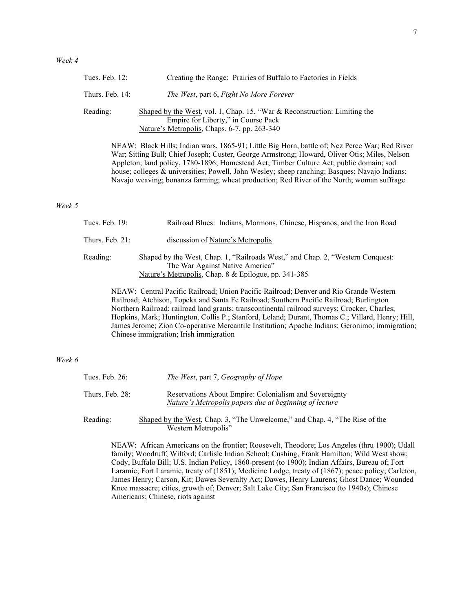*Week 6*

| Creating the Range: Prairies of Buffalo to Factories in Fields                                                                                                                                                                                                                                                                                                                                                                                                                                                                    |
|-----------------------------------------------------------------------------------------------------------------------------------------------------------------------------------------------------------------------------------------------------------------------------------------------------------------------------------------------------------------------------------------------------------------------------------------------------------------------------------------------------------------------------------|
| The West, part 6, Fight No More Forever                                                                                                                                                                                                                                                                                                                                                                                                                                                                                           |
| Shaped by the West, vol. 1, Chap. 15, "War & Reconstruction: Limiting the<br>Empire for Liberty," in Course Pack<br>Nature's Metropolis, Chaps. 6-7, pp. 263-340                                                                                                                                                                                                                                                                                                                                                                  |
| NEAW: Black Hills; Indian wars, 1865-91; Little Big Horn, battle of; Nez Perce War; Red River<br>War; Sitting Bull; Chief Joseph; Custer, George Armstrong; Howard, Oliver Otis; Miles, Nelson<br>Appleton; land policy, 1780-1896; Homestead Act; Timber Culture Act; public domain; sod<br>house; colleges & universities; Powell, John Wesley; sheep ranching; Basques; Navajo Indians;<br>Navajo weaving; bonanza farming; wheat production; Red River of the North; woman suffrage                                           |
| Railroad Blues: Indians, Mormons, Chinese, Hispanos, and the Iron Road                                                                                                                                                                                                                                                                                                                                                                                                                                                            |
| discussion of Nature's Metropolis                                                                                                                                                                                                                                                                                                                                                                                                                                                                                                 |
| Shaped by the West, Chap. 1, "Railroads West," and Chap. 2, "Western Conquest:<br>The War Against Native America"<br>Nature's Metropolis, Chap. 8 & Epilogue, pp. 341-385                                                                                                                                                                                                                                                                                                                                                         |
| NEAW: Central Pacific Railroad; Union Pacific Railroad; Denver and Rio Grande Western<br>Railroad; Atchison, Topeka and Santa Fe Railroad; Southern Pacific Railroad; Burlington<br>Northern Railroad; railroad land grants; transcontinental railroad surveys; Crocker, Charles;<br>Hopkins, Mark; Huntington, Collis P.; Stanford, Leland; Durant, Thomas C.; Villard, Henry; Hill,<br>James Jerome; Zion Co-operative Mercantile Institution; Apache Indians; Geronimo; immigration;<br>Chinese immigration; Irish immigration |
|                                                                                                                                                                                                                                                                                                                                                                                                                                                                                                                                   |

| Tues. Feb. 26:  | The West, part 7, Geography of Hope                                                                              |
|-----------------|------------------------------------------------------------------------------------------------------------------|
| Thurs. Feb. 28: | Reservations About Empire: Colonialism and Sovereignty<br>Nature's Metropolis papers due at beginning of lecture |
| Reading:        | Shaped by the West, Chap. 3, "The Unwelcome," and Chap. 4, "The Rise of the<br>Western Metropolis"               |

NEAW: African Americans on the frontier; Roosevelt, Theodore; Los Angeles (thru 1900); Udall family; Woodruff, Wilford; Carlisle Indian School; Cushing, Frank Hamilton; Wild West show; Cody, Buffalo Bill; U.S. Indian Policy, 1860-present (to 1900); Indian Affairs, Bureau of; Fort Laramie; Fort Laramie, treaty of (1851); Medicine Lodge, treaty of (1867); peace policy; Carleton, James Henry; Carson, Kit; Dawes Severalty Act; Dawes, Henry Laurens; Ghost Dance; Wounded Knee massacre; cities, growth of; Denver; Salt Lake City; San Francisco (to 1940s); Chinese Americans; Chinese, riots against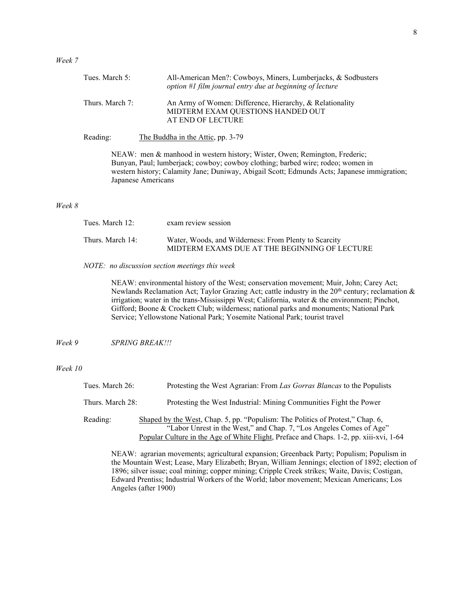| Tues. March 5:  | All-American Men?: Cowboys, Miners, Lumberjacks, & Sodbusters<br>option #1 film journal entry due at beginning of lecture                                     |
|-----------------|---------------------------------------------------------------------------------------------------------------------------------------------------------------|
| Thurs. March 7: | An Army of Women: Difference, Hierarchy, & Relationality<br>MIDTERM EXAM QUESTIONS HANDED OUT<br>AT END OF LECTURE                                            |
| Reading:        | The Buddha in the Attic, pp. 3-79                                                                                                                             |
|                 | NEAW: men & manhood in western history; Wister, Owen; Remington, Frederic;<br>Bunyan, Paul; lumberjack; cowboy; cowboy clothing; barbed wire; rodeo; women in |

| Tues. March 12:  | exam review session                                                                                    |
|------------------|--------------------------------------------------------------------------------------------------------|
| Thurs. March 14: | Water, Woods, and Wilderness: From Plenty to Scarcity<br>MIDTERM EXAMS DUE AT THE BEGINNING OF LECTURE |

# *NOTE: no discussion section meetings this week*

Japanese Americans

NEAW: environmental history of the West; conservation movement; Muir, John; Carey Act; Newlands Reclamation Act; Taylor Grazing Act; cattle industry in the  $20<sup>th</sup>$  century; reclamation  $\&$ irrigation; water in the trans-Mississippi West; California, water & the environment; Pinchot, Gifford; Boone & Crockett Club; wilderness; national parks and monuments; National Park Service; Yellowstone National Park; Yosemite National Park; tourist travel

western history; Calamity Jane; Duniway, Abigail Scott; Edmunds Acts; Japanese immigration;

*Week 9 SPRING BREAK!!!*

## *Week 10*

| Tues. March 26:  | Protesting the West Agrarian: From Las Gorras Blancas to the Populists                                                                                                                                                                          |
|------------------|-------------------------------------------------------------------------------------------------------------------------------------------------------------------------------------------------------------------------------------------------|
| Thurs. March 28: | Protesting the West Industrial: Mining Communities Fight the Power                                                                                                                                                                              |
| Reading:         | Shaped by the West, Chap. 5, pp. "Populism: The Politics of Protest," Chap. 6,<br>"Labor Unrest in the West," and Chap. 7, "Los Angeles Comes of Age"<br>Popular Culture in the Age of White Flight, Preface and Chaps. 1-2, pp. xiii-xvi, 1-64 |

NEAW: agrarian movements; agricultural expansion; Greenback Party; Populism; Populism in the Mountain West; Lease, Mary Elizabeth; Bryan, William Jennings; election of 1892; election of 1896; silver issue; coal mining; copper mining; Cripple Creek strikes; Waite, Davis; Costigan, Edward Prentiss; Industrial Workers of the World; labor movement; Mexican Americans; Los Angeles (after 1900)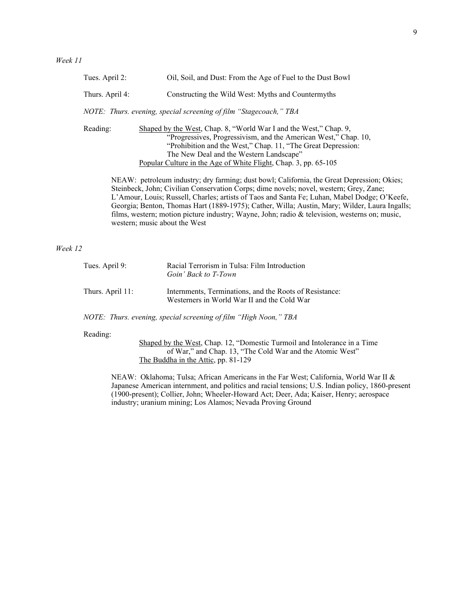| Tues. April 2:  | Oil, Soil, and Dust: From the Age of Fuel to the Dust Bowl                                                                                                                                                                                                                                                         |
|-----------------|--------------------------------------------------------------------------------------------------------------------------------------------------------------------------------------------------------------------------------------------------------------------------------------------------------------------|
| Thurs. April 4: | Constructing the Wild West: Myths and Countermyths                                                                                                                                                                                                                                                                 |
|                 | NOTE: Thurs. evening, special screening of film "Stagecoach," TBA                                                                                                                                                                                                                                                  |
| Reading:        | Shaped by the West, Chap. 8, "World War I and the West," Chap. 9,<br>"Progressives, Progressivism, and the American West," Chap. 10,<br>"Prohibition and the West," Chap. 11, "The Great Depression:<br>The New Deal and the Western Landscape"<br>Popular Culture in the Age of White Flight, Chap. 3, pp. 65-105 |

NEAW: petroleum industry; dry farming; dust bowl; California, the Great Depression; Okies; Steinbeck, John; Civilian Conservation Corps; dime novels; novel, western; Grey, Zane; L'Amour, Louis; Russell, Charles; artists of Taos and Santa Fe; Luhan, Mabel Dodge; O'Keefe, Georgia; Benton, Thomas Hart (1889-1975); Cather, Willa; Austin, Mary; Wilder, Laura Ingalls; films, western; motion picture industry; Wayne, John; radio & television, westerns on; music, western; music about the West

## *Week 12*

| Tues. April 9:   | Racial Terrorism in Tulsa: Film Introduction<br>Goin' Back to T-Town                                   |
|------------------|--------------------------------------------------------------------------------------------------------|
| Thurs. April 11: | Internments, Terminations, and the Roots of Resistance:<br>Westerners in World War II and the Cold War |

*NOTE: Thurs. evening, special screening of film "High Noon," TBA*

Reading:

Shaped by the West, Chap. 12, "Domestic Turmoil and Intolerance in a Time of War," and Chap. 13, "The Cold War and the Atomic West" The Buddha in the Attic, pp. 81-129

NEAW: Oklahoma; Tulsa; African Americans in the Far West; California, World War II & Japanese American internment, and politics and racial tensions; U.S. Indian policy, 1860-present (1900-present); Collier, John; Wheeler-Howard Act; Deer, Ada; Kaiser, Henry; aerospace industry; uranium mining; Los Alamos; Nevada Proving Ground